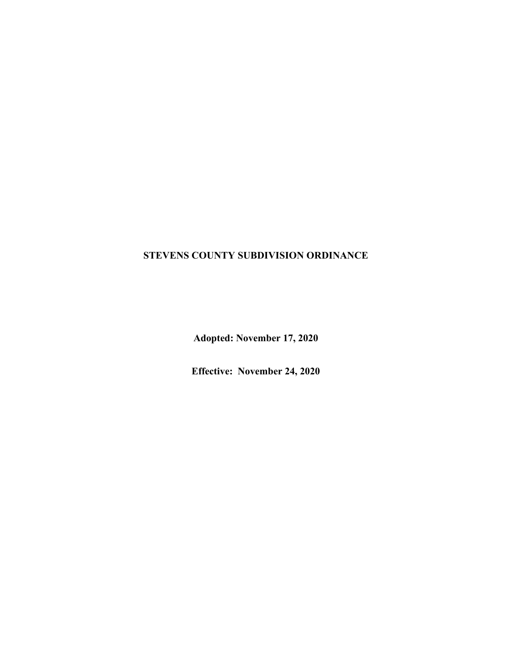# **STEVENS COUNTY SUBDIVISION ORDINANCE**

**Adopted: November 17, 2020**

**Effective: November 24, 2020**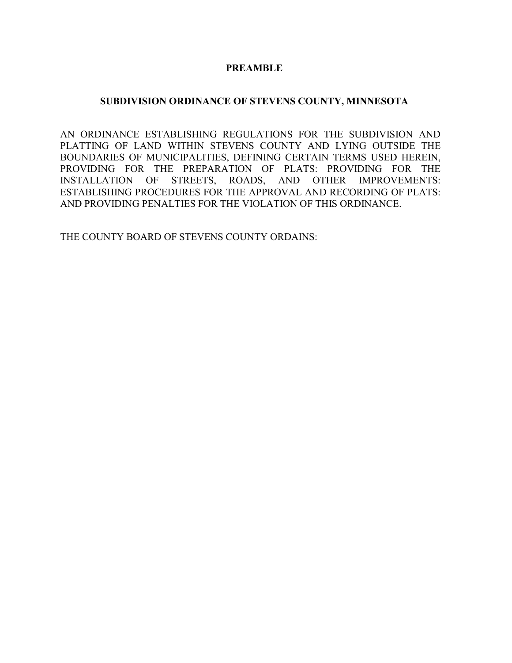### **PREAMBLE**

#### **SUBDIVISION ORDINANCE OF STEVENS COUNTY, MINNESOTA**

AN ORDINANCE ESTABLISHING REGULATIONS FOR THE SUBDIVISION AND PLATTING OF LAND WITHIN STEVENS COUNTY AND LYING OUTSIDE THE BOUNDARIES OF MUNICIPALITIES, DEFINING CERTAIN TERMS USED HEREIN, PROVIDING FOR THE PREPARATION OF PLATS: PROVIDING FOR THE INSTALLATION OF STREETS, ROADS, AND OTHER IMPROVEMENTS: ESTABLISHING PROCEDURES FOR THE APPROVAL AND RECORDING OF PLATS: AND PROVIDING PENALTIES FOR THE VIOLATION OF THIS ORDINANCE.

THE COUNTY BOARD OF STEVENS COUNTY ORDAINS: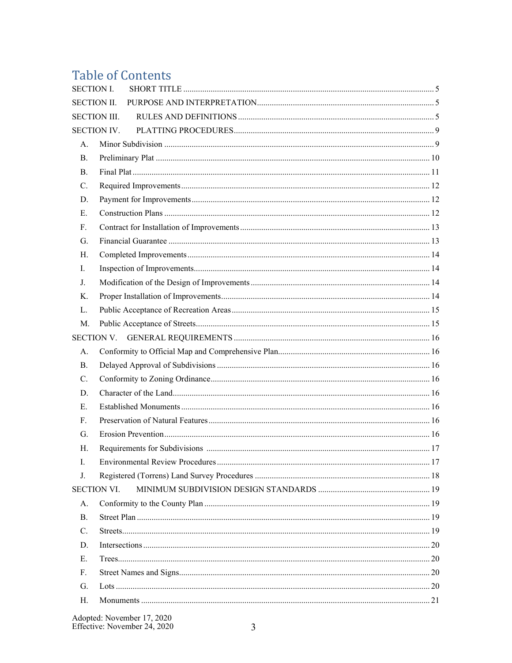# **Table of Contents**

| <b>SECTION I.</b>   |  |
|---------------------|--|
| <b>SECTION II.</b>  |  |
| <b>SECTION III.</b> |  |
| <b>SECTION IV.</b>  |  |
| А.                  |  |
| B.                  |  |
| B.                  |  |
| $C_{\cdot}$         |  |
| D.                  |  |
| E.                  |  |
| F.                  |  |
| G.                  |  |
| Н.                  |  |
| I.                  |  |
| J.                  |  |
| Κ.                  |  |
| L.                  |  |
| M.                  |  |
|                     |  |
| А.                  |  |
| B.                  |  |
| C.                  |  |
| D.                  |  |
| E.                  |  |
| F.                  |  |
| G.                  |  |
| Н.                  |  |
| Ι.                  |  |
| J.                  |  |
| <b>SECTION VI.</b>  |  |
| A.                  |  |
| <b>B.</b>           |  |
| C.                  |  |
| D.                  |  |
| E.                  |  |
| F.                  |  |
| G.                  |  |
| Н.                  |  |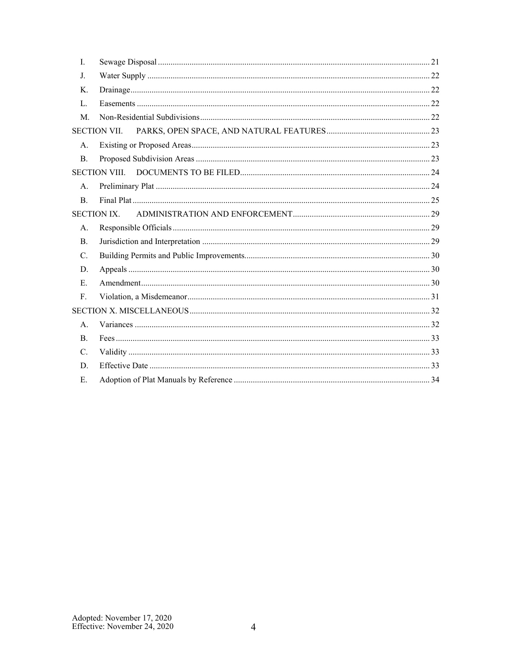| L.        |                      |  |
|-----------|----------------------|--|
| J.        |                      |  |
| Κ.        |                      |  |
| L.        |                      |  |
| M.        |                      |  |
|           | <b>SECTION VII.</b>  |  |
| A.        |                      |  |
| <b>B.</b> |                      |  |
|           | <b>SECTION VIII.</b> |  |
| A.        |                      |  |
| B.        |                      |  |
|           | SECTION IX.          |  |
| A.        |                      |  |
| <b>B.</b> |                      |  |
| C.        |                      |  |
| D.        |                      |  |
| E.        |                      |  |
| F.        |                      |  |
|           |                      |  |
| A.        |                      |  |
| <b>B.</b> |                      |  |
| C.        |                      |  |
| D.        |                      |  |
| E.        |                      |  |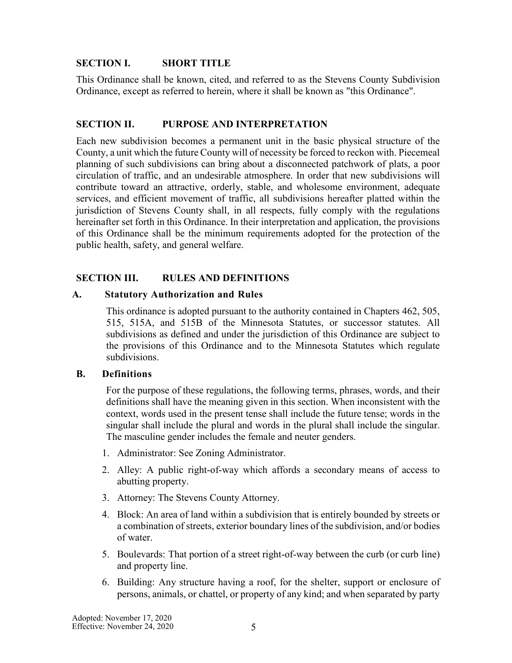# <span id="page-4-0"></span>**SECTION I. SHORT TITLE**

This Ordinance shall be known, cited, and referred to as the Stevens County Subdivision Ordinance, except as referred to herein, where it shall be known as "this Ordinance".

# <span id="page-4-1"></span>**SECTION II. PURPOSE AND INTERPRETATION**

Each new subdivision becomes a permanent unit in the basic physical structure of the County, a unit which the future County will of necessity be forced to reckon with. Piecemeal planning of such subdivisions can bring about a disconnected patchwork of plats, a poor circulation of traffic, and an undesirable atmosphere. In order that new subdivisions will contribute toward an attractive, orderly, stable, and wholesome environment, adequate services, and efficient movement of traffic, all subdivisions hereafter platted within the jurisdiction of Stevens County shall, in all respects, fully comply with the regulations hereinafter set forth in this Ordinance. In their interpretation and application, the provisions of this Ordinance shall be the minimum requirements adopted for the protection of the public health, safety, and general welfare.

# <span id="page-4-2"></span>**SECTION III. RULES AND DEFINITIONS**

#### **A. Statutory Authorization and Rules**

This ordinance is adopted pursuant to the authority contained in Chapters 462, 505, 515, 515A, and 515B of the Minnesota Statutes, or successor statutes. All subdivisions as defined and under the jurisdiction of this Ordinance are subject to the provisions of this Ordinance and to the Minnesota Statutes which regulate subdivisions.

#### **B. Definitions**

For the purpose of these regulations, the following terms, phrases, words, and their definitions shall have the meaning given in this section. When inconsistent with the context, words used in the present tense shall include the future tense; words in the singular shall include the plural and words in the plural shall include the singular. The masculine gender includes the female and neuter genders.

- 1. Administrator: See Zoning Administrator.
- 2. Alley: A public right-of-way which affords a secondary means of access to abutting property.
- 3. Attorney: The Stevens County Attorney.
- 4. Block: An area of land within a subdivision that is entirely bounded by streets or a combination of streets, exterior boundary lines of the subdivision, and/or bodies of water.
- 5. Boulevards: That portion of a street right-of-way between the curb (or curb line) and property line.
- 6. Building: Any structure having a roof, for the shelter, support or enclosure of persons, animals, or chattel, or property of any kind; and when separated by party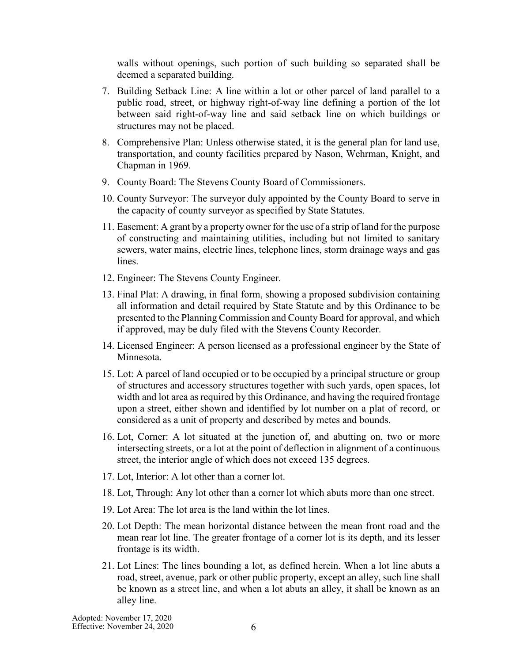walls without openings, such portion of such building so separated shall be deemed a separated building.

- 7. Building Setback Line: A line within a lot or other parcel of land parallel to a public road, street, or highway right-of-way line defining a portion of the lot between said right-of-way line and said setback line on which buildings or structures may not be placed.
- 8. Comprehensive Plan: Unless otherwise stated, it is the general plan for land use, transportation, and county facilities prepared by Nason, Wehrman, Knight, and Chapman in 1969.
- 9. County Board: The Stevens County Board of Commissioners.
- 10. County Surveyor: The surveyor duly appointed by the County Board to serve in the capacity of county surveyor as specified by State Statutes.
- 11. Easement: A grant by a property owner for the use of a strip of land forthe purpose of constructing and maintaining utilities, including but not limited to sanitary sewers, water mains, electric lines, telephone lines, storm drainage ways and gas lines.
- 12. Engineer: The Stevens County Engineer.
- 13. Final Plat: A drawing, in final form, showing a proposed subdivision containing all information and detail required by State Statute and by this Ordinance to be presented to the Planning Commission and County Board for approval, and which if approved, may be duly filed with the Stevens County Recorder.
- 14. Licensed Engineer: A person licensed as a professional engineer by the State of Minnesota.
- 15. Lot: A parcel of land occupied or to be occupied by a principal structure or group of structures and accessory structures together with such yards, open spaces, lot width and lot area as required by this Ordinance, and having the required frontage upon a street, either shown and identified by lot number on a plat of record, or considered as a unit of property and described by metes and bounds.
- 16. Lot, Corner: A lot situated at the junction of, and abutting on, two or more intersecting streets, or a lot at the point of deflection in alignment of a continuous street, the interior angle of which does not exceed 135 degrees.
- 17. Lot, Interior: A lot other than a corner lot.
- 18. Lot, Through: Any lot other than a corner lot which abuts more than one street.
- 19. Lot Area: The lot area is the land within the lot lines.
- 20. Lot Depth: The mean horizontal distance between the mean front road and the mean rear lot line. The greater frontage of a corner lot is its depth, and its lesser frontage is its width.
- 21. Lot Lines: The lines bounding a lot, as defined herein. When a lot line abuts a road, street, avenue, park or other public property, except an alley, such line shall be known as a street line, and when a lot abuts an alley, it shall be known as an alley line.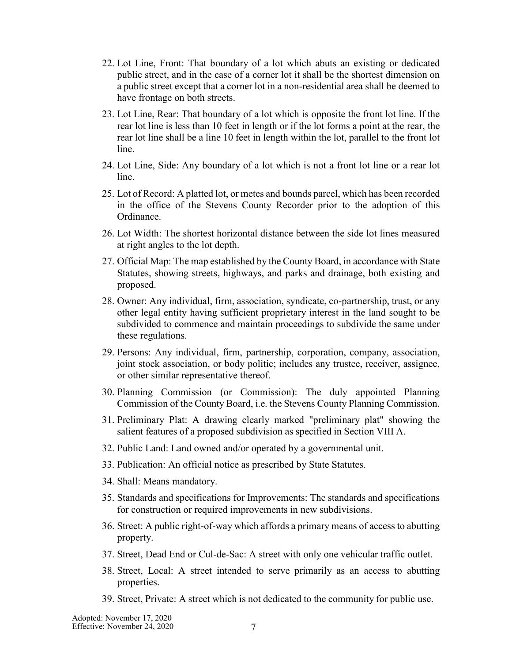- 22. Lot Line, Front: That boundary of a lot which abuts an existing or dedicated public street, and in the case of a corner lot it shall be the shortest dimension on a public street except that a corner lot in a non-residential area shall be deemed to have frontage on both streets.
- 23. Lot Line, Rear: That boundary of a lot which is opposite the front lot line. If the rear lot line is less than 10 feet in length or if the lot forms a point at the rear, the rear lot line shall be a line 10 feet in length within the lot, parallel to the front lot line.
- 24. Lot Line, Side: Any boundary of a lot which is not a front lot line or a rear lot line.
- 25. Lot of Record: A platted lot, or metes and bounds parcel, which has been recorded in the office of the Stevens County Recorder prior to the adoption of this Ordinance.
- 26. Lot Width: The shortest horizontal distance between the side lot lines measured at right angles to the lot depth.
- 27. Official Map: The map established by the County Board, in accordance with State Statutes, showing streets, highways, and parks and drainage, both existing and proposed.
- 28. Owner: Any individual, firm, association, syndicate, co-partnership, trust, or any other legal entity having sufficient proprietary interest in the land sought to be subdivided to commence and maintain proceedings to subdivide the same under these regulations.
- 29. Persons: Any individual, firm, partnership, corporation, company, association, joint stock association, or body politic; includes any trustee, receiver, assignee, or other similar representative thereof.
- 30. Planning Commission (or Commission): The duly appointed Planning Commission of the County Board, i.e. the Stevens County Planning Commission.
- 31. Preliminary Plat: A drawing clearly marked "preliminary plat" showing the salient features of a proposed subdivision as specified in Section VIII A.
- 32. Public Land: Land owned and/or operated by a governmental unit.
- 33. Publication: An official notice as prescribed by State Statutes.
- 34. Shall: Means mandatory.
- 35. Standards and specifications for Improvements: The standards and specifications for construction or required improvements in new subdivisions.
- 36. Street: A public right-of-way which affords a primary means of access to abutting property.
- 37. Street, Dead End or Cul-de-Sac: A street with only one vehicular traffic outlet.
- 38. Street, Local: A street intended to serve primarily as an access to abutting properties.
- 39. Street, Private: A street which is not dedicated to the community for public use.

Adopted: November 17, 2020 Effective: November 24, 2020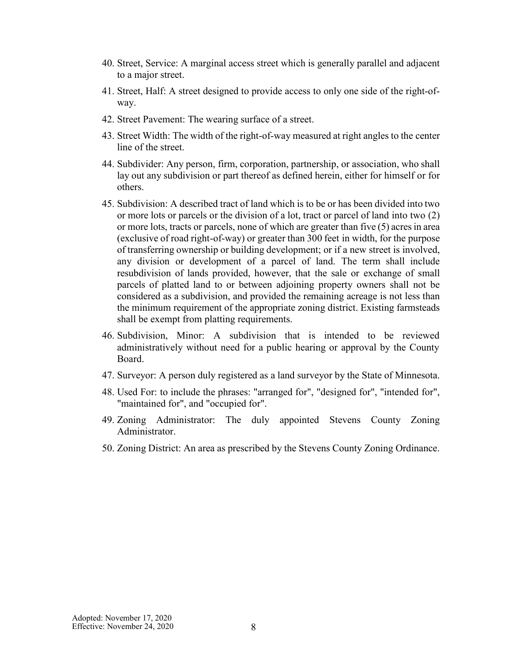- 40. Street, Service: A marginal access street which is generally parallel and adjacent to a major street.
- 41. Street, Half: A street designed to provide access to only one side of the right-ofway.
- 42. Street Pavement: The wearing surface of a street.
- 43. Street Width: The width of the right-of-way measured at right angles to the center line of the street.
- 44. Subdivider: Any person, firm, corporation, partnership, or association, who shall lay out any subdivision or part thereof as defined herein, either for himself or for others.
- 45. Subdivision: A described tract of land which is to be or has been divided into two or more lots or parcels or the division of a lot, tract or parcel of land into two (2) or more lots, tracts or parcels, none of which are greater than five (5) acresin area (exclusive of road right-of-way) or greater than 300 feet in width, for the purpose of transferring ownership or building development; or if a new street is involved, any division or development of a parcel of land. The term shall include resubdivision of lands provided, however, that the sale or exchange of small parcels of platted land to or between adjoining property owners shall not be considered as a subdivision, and provided the remaining acreage is not less than the minimum requirement of the appropriate zoning district. Existing farmsteads shall be exempt from platting requirements.
- 46. Subdivision, Minor: A subdivision that is intended to be reviewed administratively without need for a public hearing or approval by the County Board.
- 47. Surveyor: A person duly registered as a land surveyor by the State of Minnesota.
- 48. Used For: to include the phrases: "arranged for", "designed for", "intended for", "maintained for", and "occupied for".
- 49. Zoning Administrator: The duly appointed Stevens County Zoning Administrator.
- 50. Zoning District: An area as prescribed by the Stevens County Zoning Ordinance.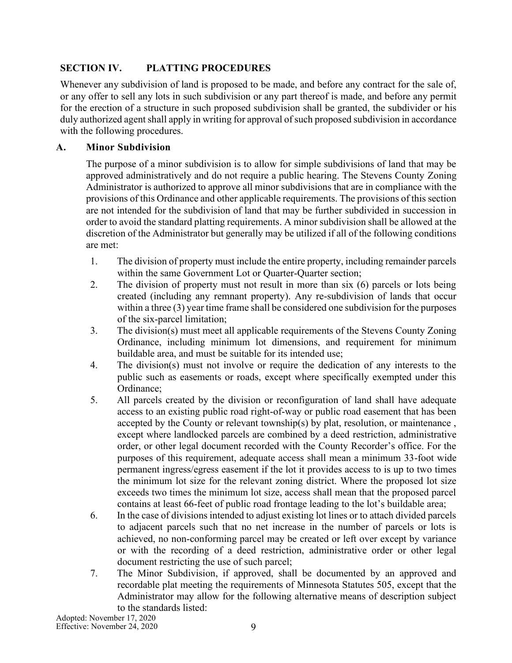# <span id="page-8-0"></span>**SECTION IV. PLATTING PROCEDURES**

Whenever any subdivision of land is proposed to be made, and before any contract for the sale of, or any offer to sell any lots in such subdivision or any part thereof is made, and before any permit for the erection of a structure in such proposed subdivision shall be granted, the subdivider or his duly authorized agent shall apply in writing for approval of such proposed subdivision in accordance with the following procedures.

# <span id="page-8-1"></span>**A. Minor Subdivision**

The purpose of a minor subdivision is to allow for simple subdivisions of land that may be approved administratively and do not require a public hearing. The Stevens County Zoning Administrator is authorized to approve all minor subdivisions that are in compliance with the provisions of this Ordinance and other applicable requirements. The provisions of this section are not intended for the subdivision of land that may be further subdivided in succession in order to avoid the standard platting requirements. A minor subdivision shall be allowed at the discretion of the Administrator but generally may be utilized if all of the following conditions are met:

- 1. The division of property must include the entire property, including remainder parcels within the same Government Lot or Quarter-Quarter section;
- 2. The division of property must not result in more than six (6) parcels or lots being created (including any remnant property). Any re-subdivision of lands that occur within a three (3) year time frame shall be considered one subdivision for the purposes of the six-parcel limitation;
- 3. The division(s) must meet all applicable requirements of the Stevens County Zoning Ordinance, including minimum lot dimensions, and requirement for minimum buildable area, and must be suitable for its intended use;
- 4. The division(s) must not involve or require the dedication of any interests to the public such as easements or roads, except where specifically exempted under this Ordinance;
- 5. All parcels created by the division or reconfiguration of land shall have adequate access to an existing public road right-of-way or public road easement that has been accepted by the County or relevant township(s) by plat, resolution, or maintenance , except where landlocked parcels are combined by a deed restriction, administrative order, or other legal document recorded with the County Recorder's office. For the purposes of this requirement, adequate access shall mean a minimum 33-foot wide permanent ingress/egress easement if the lot it provides access to is up to two times the minimum lot size for the relevant zoning district. Where the proposed lot size exceeds two times the minimum lot size, access shall mean that the proposed parcel contains at least 66-feet of public road frontage leading to the lot's buildable area;
- 6. In the case of divisions intended to adjust existing lot lines or to attach divided parcels to adjacent parcels such that no net increase in the number of parcels or lots is achieved, no non-conforming parcel may be created or left over except by variance or with the recording of a deed restriction, administrative order or other legal document restricting the use of such parcel;
- 7. The Minor Subdivision, if approved, shall be documented by an approved and recordable plat meeting the requirements of Minnesota Statutes 505, except that the Administrator may allow for the following alternative means of description subject to the standards listed: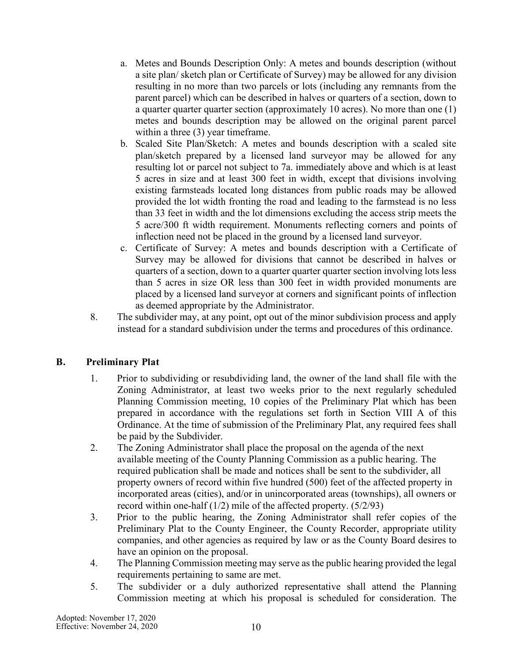- a. Metes and Bounds Description Only: A metes and bounds description (without a site plan/ sketch plan or Certificate of Survey) may be allowed for any division resulting in no more than two parcels or lots (including any remnants from the parent parcel) which can be described in halves or quarters of a section, down to a quarter quarter quarter section (approximately 10 acres). No more than one (1) metes and bounds description may be allowed on the original parent parcel within a three (3) year timeframe.
- b. Scaled Site Plan/Sketch: A metes and bounds description with a scaled site plan/sketch prepared by a licensed land surveyor may be allowed for any resulting lot or parcel not subject to 7a. immediately above and which is at least 5 acres in size and at least 300 feet in width, except that divisions involving existing farmsteads located long distances from public roads may be allowed provided the lot width fronting the road and leading to the farmstead is no less than 33 feet in width and the lot dimensions excluding the access strip meets the 5 acre/300 ft width requirement. Monuments reflecting corners and points of inflection need not be placed in the ground by a licensed land surveyor.
- c. Certificate of Survey: A metes and bounds description with a Certificate of Survey may be allowed for divisions that cannot be described in halves or quarters of a section, down to a quarter quarter quarter section involving lots less than 5 acres in size OR less than 300 feet in width provided monuments are placed by a licensed land surveyor at corners and significant points of inflection as deemed appropriate by the Administrator.
- 8. The subdivider may, at any point, opt out of the minor subdivision process and apply instead for a standard subdivision under the terms and procedures of this ordinance.

# <span id="page-9-0"></span>**B. Preliminary Plat**

- 1. Prior to subdividing or resubdividing land, the owner of the land shall file with the Zoning Administrator, at least two weeks prior to the next regularly scheduled Planning Commission meeting, 10 copies of the Preliminary Plat which has been prepared in accordance with the regulations set forth in Section VIII A of this Ordinance. At the time of submission of the Preliminary Plat, any required fees shall be paid by the Subdivider.
- 2. The Zoning Administrator shall place the proposal on the agenda of the next available meeting of the County Planning Commission as a public hearing. The required publication shall be made and notices shall be sent to the subdivider, all property owners of record within five hundred (500) feet of the affected property in incorporated areas (cities), and/or in unincorporated areas (townships), all owners or record within one-half (1/2) mile of the affected property. (5/2/93)
- 3. Prior to the public hearing, the Zoning Administrator shall refer copies of the Preliminary Plat to the County Engineer, the County Recorder, appropriate utility companies, and other agencies as required by law or as the County Board desires to have an opinion on the proposal.
- 4. The Planning Commission meeting may serve as the public hearing provided the legal requirements pertaining to same are met.
- 5. The subdivider or a duly authorized representative shall attend the Planning Commission meeting at which his proposal is scheduled for consideration. The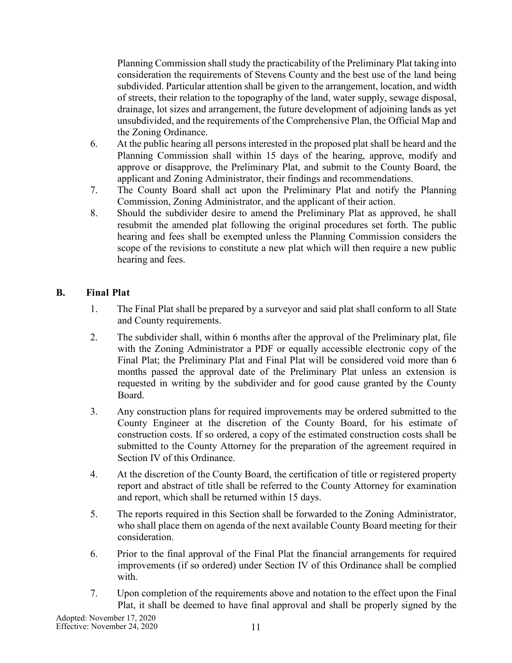Planning Commission shall study the practicability of the Preliminary Plat taking into consideration the requirements of Stevens County and the best use of the land being subdivided. Particular attention shall be given to the arrangement, location, and width of streets, their relation to the topography of the land, water supply, sewage disposal, drainage, lot sizes and arrangement, the future development of adjoining lands as yet unsubdivided, and the requirements of the Comprehensive Plan, the Official Map and the Zoning Ordinance.

- 6. At the public hearing all persons interested in the proposed plat shall be heard and the Planning Commission shall within 15 days of the hearing, approve, modify and approve or disapprove, the Preliminary Plat, and submit to the County Board, the applicant and Zoning Administrator, their findings and recommendations.
- 7. The County Board shall act upon the Preliminary Plat and notify the Planning Commission, Zoning Administrator, and the applicant of their action.
- 8. Should the subdivider desire to amend the Preliminary Plat as approved, he shall resubmit the amended plat following the original procedures set forth. The public hearing and fees shall be exempted unless the Planning Commission considers the scope of the revisions to constitute a new plat which will then require a new public hearing and fees.

# <span id="page-10-0"></span>**B. Final Plat**

- 1. The Final Plat shall be prepared by a surveyor and said plat shall conform to all State and County requirements.
- 2. The subdivider shall, within 6 months after the approval of the Preliminary plat, file with the Zoning Administrator a PDF or equally accessible electronic copy of the Final Plat; the Preliminary Plat and Final Plat will be considered void more than 6 months passed the approval date of the Preliminary Plat unless an extension is requested in writing by the subdivider and for good cause granted by the County Board.
- 3. Any construction plans for required improvements may be ordered submitted to the County Engineer at the discretion of the County Board, for his estimate of construction costs. If so ordered, a copy of the estimated construction costs shall be submitted to the County Attorney for the preparation of the agreement required in Section IV of this Ordinance.
- 4. At the discretion of the County Board, the certification of title or registered property report and abstract of title shall be referred to the County Attorney for examination and report, which shall be returned within 15 days.
- 5. The reports required in this Section shall be forwarded to the Zoning Administrator, who shall place them on agenda of the next available County Board meeting for their consideration.
- 6. Prior to the final approval of the Final Plat the financial arrangements for required improvements (if so ordered) under Section IV of this Ordinance shall be complied with.
- 7. Upon completion of the requirements above and notation to the effect upon the Final Plat, it shall be deemed to have final approval and shall be properly signed by the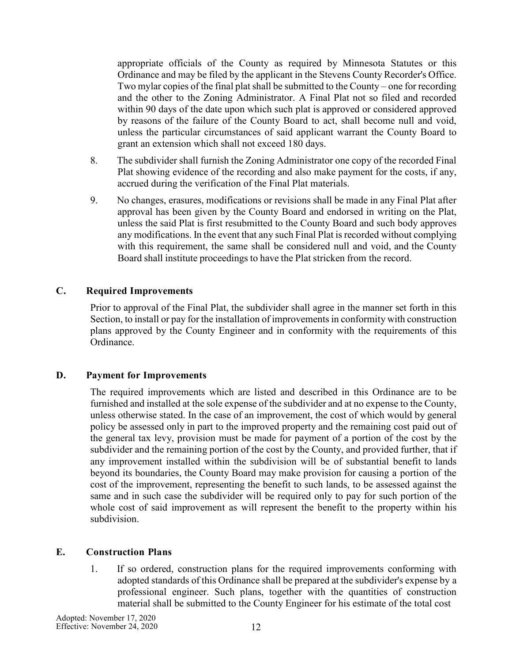appropriate officials of the County as required by Minnesota Statutes or this Ordinance and may be filed by the applicant in the Stevens County Recorder's Office. Two mylar copies of the final plat shall be submitted to the County – one for recording and the other to the Zoning Administrator. A Final Plat not so filed and recorded within 90 days of the date upon which such plat is approved or considered approved by reasons of the failure of the County Board to act, shall become null and void, unless the particular circumstances of said applicant warrant the County Board to grant an extension which shall not exceed 180 days.

- 8. The subdivider shall furnish the Zoning Administrator one copy of the recorded Final Plat showing evidence of the recording and also make payment for the costs, if any, accrued during the verification of the Final Plat materials.
- 9. No changes, erasures, modifications or revisions shall be made in any Final Plat after approval has been given by the County Board and endorsed in writing on the Plat, unless the said Plat is first resubmitted to the County Board and such body approves any modifications. In the event that any such Final Plat is recorded without complying with this requirement, the same shall be considered null and void, and the County Board shall institute proceedings to have the Plat stricken from the record.

#### <span id="page-11-0"></span>**C. Required Improvements**

Prior to approval of the Final Plat, the subdivider shall agree in the manner set forth in this Section, to install or pay for the installation of improvements in conformity with construction plans approved by the County Engineer and in conformity with the requirements of this Ordinance.

# <span id="page-11-1"></span>**D. Payment for Improvements**

The required improvements which are listed and described in this Ordinance are to be furnished and installed at the sole expense of the subdivider and at no expense to the County, unless otherwise stated. In the case of an improvement, the cost of which would by general policy be assessed only in part to the improved property and the remaining cost paid out of the general tax levy, provision must be made for payment of a portion of the cost by the subdivider and the remaining portion of the cost by the County, and provided further, that if any improvement installed within the subdivision will be of substantial benefit to lands beyond its boundaries, the County Board may make provision for causing a portion of the cost of the improvement, representing the benefit to such lands, to be assessed against the same and in such case the subdivider will be required only to pay for such portion of the whole cost of said improvement as will represent the benefit to the property within his subdivision.

# <span id="page-11-2"></span>**E. Construction Plans**

1. If so ordered, construction plans for the required improvements conforming with adopted standards of this Ordinance shall be prepared at the subdivider's expense by a professional engineer. Such plans, together with the quantities of construction material shall be submitted to the County Engineer for his estimate of the total cost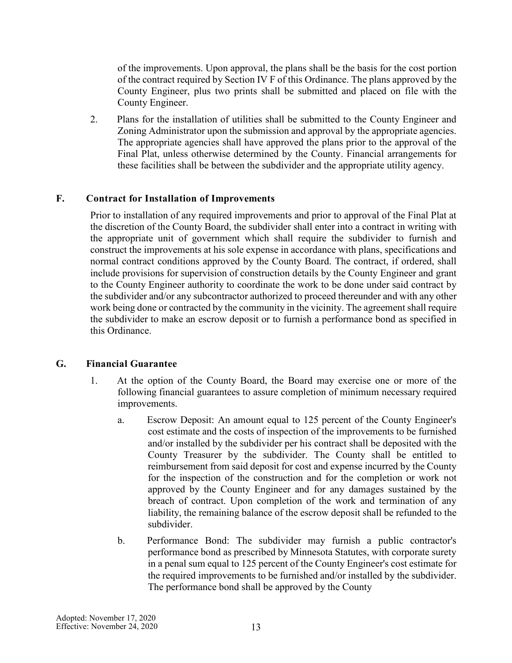of the improvements. Upon approval, the plans shall be the basis for the cost portion of the contract required by Section IV F of this Ordinance. The plans approved by the County Engineer, plus two prints shall be submitted and placed on file with the County Engineer.

2. Plans for the installation of utilities shall be submitted to the County Engineer and Zoning Administrator upon the submission and approval by the appropriate agencies. The appropriate agencies shall have approved the plans prior to the approval of the Final Plat, unless otherwise determined by the County. Financial arrangements for these facilities shall be between the subdivider and the appropriate utility agency.

#### <span id="page-12-0"></span>**F. Contract for Installation of Improvements**

Prior to installation of any required improvements and prior to approval of the Final Plat at the discretion of the County Board, the subdivider shall enter into a contract in writing with the appropriate unit of government which shall require the subdivider to furnish and construct the improvements at his sole expense in accordance with plans, specifications and normal contract conditions approved by the County Board. The contract, if ordered, shall include provisions for supervision of construction details by the County Engineer and grant to the County Engineer authority to coordinate the work to be done under said contract by the subdivider and/or any subcontractor authorized to proceed thereunder and with any other work being done or contracted by the community in the vicinity. The agreement shall require the subdivider to make an escrow deposit or to furnish a performance bond as specified in this Ordinance.

#### <span id="page-12-1"></span>**G. Financial Guarantee**

- 1. At the option of the County Board, the Board may exercise one or more of the following financial guarantees to assure completion of minimum necessary required improvements.
	- a. Escrow Deposit: An amount equal to 125 percent of the County Engineer's cost estimate and the costs of inspection of the improvements to be furnished and/or installed by the subdivider per his contract shall be deposited with the County Treasurer by the subdivider. The County shall be entitled to reimbursement from said deposit for cost and expense incurred by the County for the inspection of the construction and for the completion or work not approved by the County Engineer and for any damages sustained by the breach of contract. Upon completion of the work and termination of any liability, the remaining balance of the escrow deposit shall be refunded to the subdivider.
	- b. Performance Bond: The subdivider may furnish a public contractor's performance bond as prescribed by Minnesota Statutes, with corporate surety in a penal sum equal to 125 percent of the County Engineer's cost estimate for the required improvements to be furnished and/or installed by the subdivider. The performance bond shall be approved by the County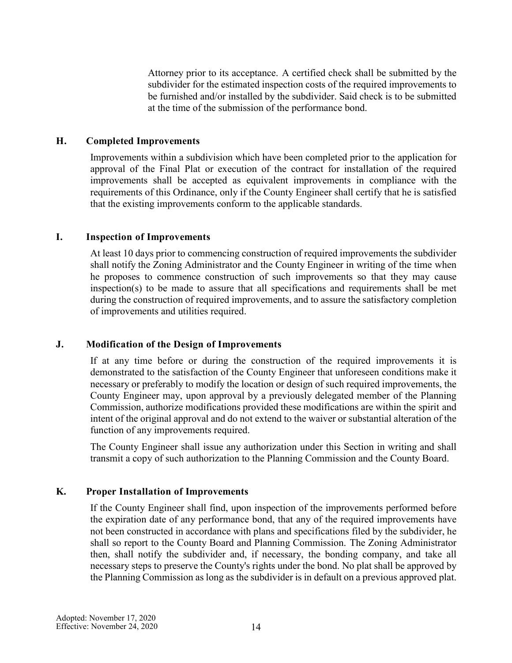Attorney prior to its acceptance. A certified check shall be submitted by the subdivider for the estimated inspection costs of the required improvements to be furnished and/or installed by the subdivider. Said check is to be submitted at the time of the submission of the performance bond.

### <span id="page-13-0"></span>**H. Completed Improvements**

Improvements within a subdivision which have been completed prior to the application for approval of the Final Plat or execution of the contract for installation of the required improvements shall be accepted as equivalent improvements in compliance with the requirements of this Ordinance, only if the County Engineer shall certify that he is satisfied that the existing improvements conform to the applicable standards.

#### <span id="page-13-1"></span>**I. Inspection of Improvements**

At least 10 days prior to commencing construction of required improvements the subdivider shall notify the Zoning Administrator and the County Engineer in writing of the time when he proposes to commence construction of such improvements so that they may cause inspection(s) to be made to assure that all specifications and requirements shall be met during the construction of required improvements, and to assure the satisfactory completion of improvements and utilities required.

#### <span id="page-13-2"></span>**J. Modification of the Design of Improvements**

If at any time before or during the construction of the required improvements it is demonstrated to the satisfaction of the County Engineer that unforeseen conditions make it necessary or preferably to modify the location or design of such required improvements, the County Engineer may, upon approval by a previously delegated member of the Planning Commission, authorize modifications provided these modifications are within the spirit and intent of the original approval and do not extend to the waiver or substantial alteration of the function of any improvements required.

The County Engineer shall issue any authorization under this Section in writing and shall transmit a copy of such authorization to the Planning Commission and the County Board.

# <span id="page-13-3"></span>**K. Proper Installation of Improvements**

If the County Engineer shall find, upon inspection of the improvements performed before the expiration date of any performance bond, that any of the required improvements have not been constructed in accordance with plans and specifications filed by the subdivider, he shall so report to the County Board and Planning Commission. The Zoning Administrator then, shall notify the subdivider and, if necessary, the bonding company, and take all necessary steps to preserve the County's rights under the bond. No plat shall be approved by the Planning Commission as long as the subdivider is in default on a previous approved plat.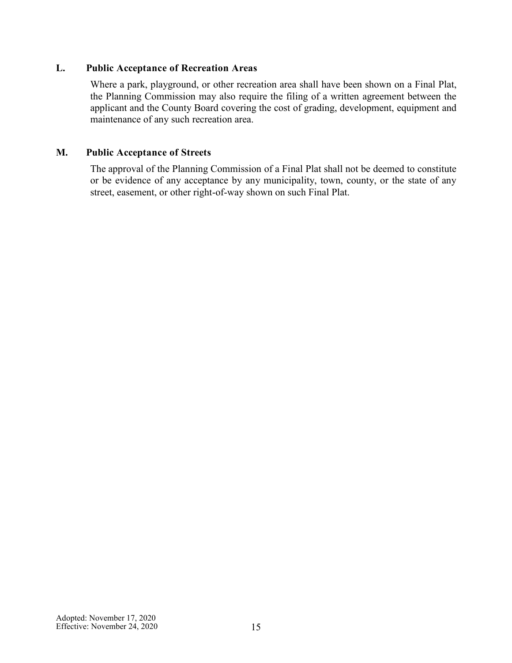# <span id="page-14-0"></span>**L. Public Acceptance of Recreation Areas**

Where a park, playground, or other recreation area shall have been shown on a Final Plat, the Planning Commission may also require the filing of a written agreement between the applicant and the County Board covering the cost of grading, development, equipment and maintenance of any such recreation area.

# <span id="page-14-1"></span>**M. Public Acceptance of Streets**

The approval of the Planning Commission of a Final Plat shall not be deemed to constitute or be evidence of any acceptance by any municipality, town, county, or the state of any street, easement, or other right-of-way shown on such Final Plat.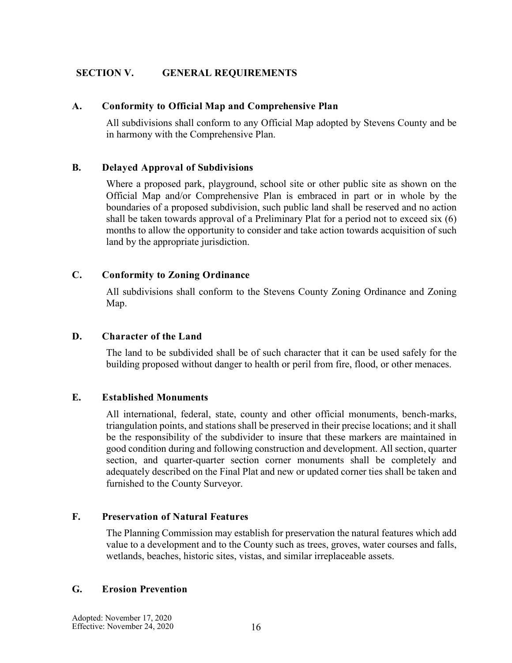# <span id="page-15-0"></span>**SECTION V. GENERAL REQUIREMENTS**

#### <span id="page-15-1"></span>**A. Conformity to Official Map and Comprehensive Plan**

All subdivisions shall conform to any Official Map adopted by Stevens County and be in harmony with the Comprehensive Plan.

#### <span id="page-15-2"></span>**B. Delayed Approval of Subdivisions**

Where a proposed park, playground, school site or other public site as shown on the Official Map and/or Comprehensive Plan is embraced in part or in whole by the boundaries of a proposed subdivision, such public land shall be reserved and no action shall be taken towards approval of a Preliminary Plat for a period not to exceed six (6) months to allow the opportunity to consider and take action towards acquisition of such land by the appropriate jurisdiction.

#### <span id="page-15-3"></span>**C. Conformity to Zoning Ordinance**

All subdivisions shall conform to the Stevens County Zoning Ordinance and Zoning Map.

#### <span id="page-15-4"></span>**D. Character of the Land**

The land to be subdivided shall be of such character that it can be used safely for the building proposed without danger to health or peril from fire, flood, or other menaces.

#### <span id="page-15-5"></span>**E. Established Monuments**

All international, federal, state, county and other official monuments, bench-marks, triangulation points, and stations shall be preserved in their precise locations; and it shall be the responsibility of the subdivider to insure that these markers are maintained in good condition during and following construction and development. All section, quarter section, and quarter-quarter section corner monuments shall be completely and adequately described on the Final Plat and new or updated corner ties shall be taken and furnished to the County Surveyor.

#### <span id="page-15-6"></span>**F. Preservation of Natural Features**

The Planning Commission may establish for preservation the natural features which add value to a development and to the County such as trees, groves, water courses and falls, wetlands, beaches, historic sites, vistas, and similar irreplaceable assets.

#### <span id="page-15-7"></span>**G. Erosion Prevention**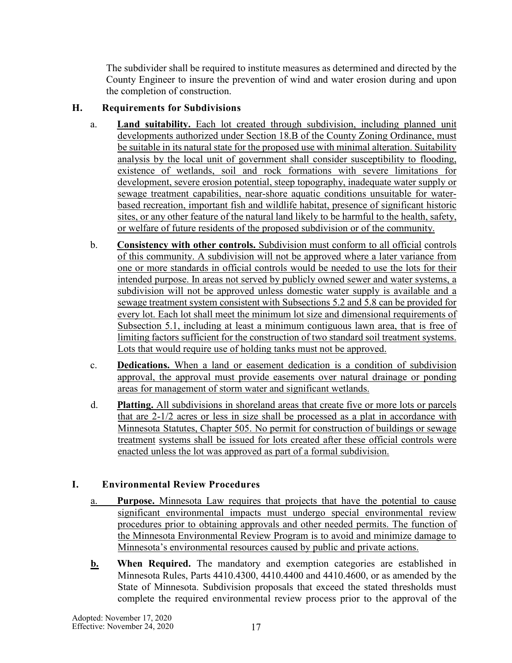The subdivider shall be required to institute measures as determined and directed by the County Engineer to insure the prevention of wind and water erosion during and upon the completion of construction.

# <span id="page-16-0"></span>**H. Requirements for Subdivisions**

- a. **Land suitability.** Each lot created through subdivision, including planned unit developments authorized under Section 18.B of the County Zoning Ordinance, must be suitable in its natural state for the proposed use with minimal alteration. Suitability analysis by the local unit of government shall consider susceptibility to flooding, existence of wetlands, soil and rock formations with severe limitations for development, severe erosion potential, steep topography, inadequate water supply or sewage treatment capabilities, near-shore aquatic conditions unsuitable for waterbased recreation, important fish and wildlife habitat, presence of significant historic sites, or any other feature of the natural land likely to be harmful to the health, safety, or welfare of future residents of the proposed subdivision or of the community.
- b. **Consistency with other controls.** Subdivision must conform to all official controls of this community. A subdivision will not be approved where a later variance from one or more standards in official controls would be needed to use the lots for their intended purpose. In areas not served by publicly owned sewer and water systems, a subdivision will not be approved unless domestic water supply is available and a sewage treatment system consistent with Subsections 5.2 and 5.8 can be provided for every lot. Each lot shall meet the minimum lot size and dimensional requirements of Subsection 5.1, including at least a minimum contiguous lawn area, that is free of limiting factors sufficient for the construction of two standard soil treatment systems. Lots that would require use of holding tanks must not be approved.
- c. **Dedications.** When a land or easement dedication is a condition of subdivision approval, the approval must provide easements over natural drainage or ponding areas for management of storm water and significant wetlands.
- d. **Platting.** All subdivisions in shoreland areas that create five or more lots or parcels that are 2-1/2 acres or less in size shall be processed as a plat in accordance with Minnesota Statutes, Chapter 505. No permit for construction of buildings or sewage treatment systems shall be issued for lots created after these official controls were enacted unless the lot was approved as part of a formal subdivision.

# <span id="page-16-1"></span>**I. Environmental Review Procedures**

- a. **Purpose.** Minnesota Law requires that projects that have the potential to cause significant environmental impacts must undergo special environmental review procedures prior to obtaining approvals and other needed permits. The function of the Minnesota Environmental Review Program is to avoid and minimize damage to Minnesota's environmental resources caused by public and private actions.
- **b. When Required.** The mandatory and exemption categories are established in Minnesota Rules, Parts 4410.4300, 4410.4400 and 4410.4600, or as amended by the State of Minnesota. Subdivision proposals that exceed the stated thresholds must complete the required environmental review process prior to the approval of the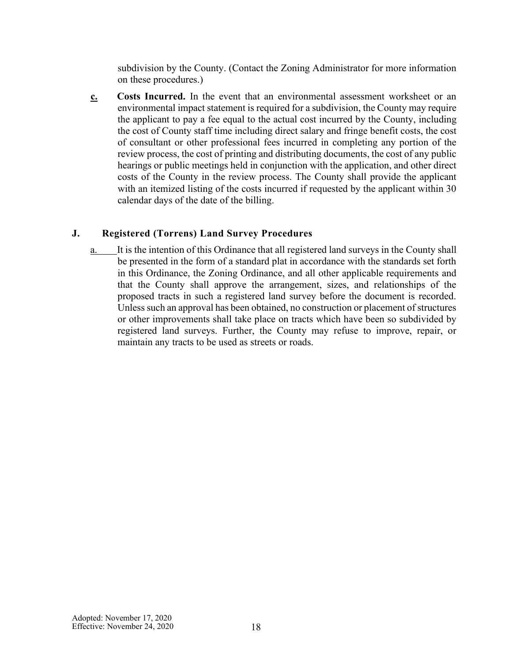subdivision by the County. (Contact the Zoning Administrator for more information on these procedures.)

**c. Costs Incurred.** In the event that an environmental assessment worksheet or an environmental impact statement is required for a subdivision, the County may require the applicant to pay a fee equal to the actual cost incurred by the County, including the cost of County staff time including direct salary and fringe benefit costs, the cost of consultant or other professional fees incurred in completing any portion of the review process, the cost of printing and distributing documents, the cost of any public hearings or public meetings held in conjunction with the application, and other direct costs of the County in the review process. The County shall provide the applicant with an itemized listing of the costs incurred if requested by the applicant within 30 calendar days of the date of the billing.

#### <span id="page-17-0"></span>**J. Registered (Torrens) Land Survey Procedures**

a. It is the intention of this Ordinance that all registered land surveys in the County shall be presented in the form of a standard plat in accordance with the standards set forth in this Ordinance, the Zoning Ordinance, and all other applicable requirements and that the County shall approve the arrangement, sizes, and relationships of the proposed tracts in such a registered land survey before the document is recorded. Unless such an approval has been obtained, no construction or placement of structures or other improvements shall take place on tracts which have been so subdivided by registered land surveys. Further, the County may refuse to improve, repair, or maintain any tracts to be used as streets or roads.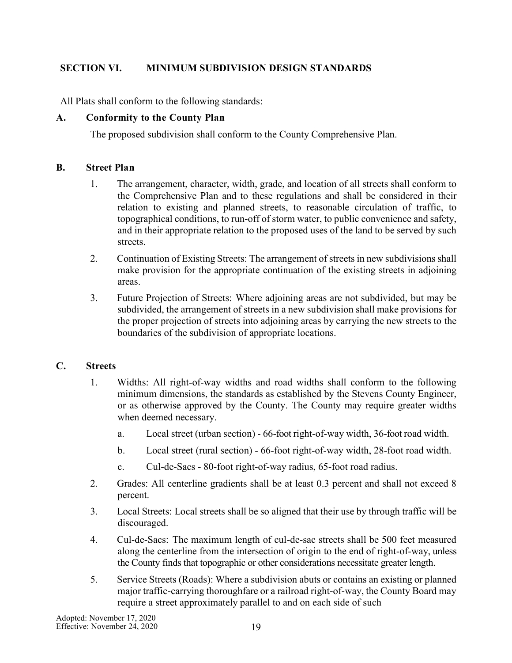# <span id="page-18-0"></span>**SECTION VI. MINIMUM SUBDIVISION DESIGN STANDARDS**

All Plats shall conform to the following standards:

# <span id="page-18-1"></span>**A. Conformity to the County Plan**

The proposed subdivision shall conform to the County Comprehensive Plan.

#### <span id="page-18-2"></span>**B. Street Plan**

- 1. The arrangement, character, width, grade, and location of all streets shall conform to the Comprehensive Plan and to these regulations and shall be considered in their relation to existing and planned streets, to reasonable circulation of traffic, to topographical conditions, to run-off of storm water, to public convenience and safety, and in their appropriate relation to the proposed uses of the land to be served by such streets.
- 2. Continuation of Existing Streets: The arrangement of streets in new subdivisions shall make provision for the appropriate continuation of the existing streets in adjoining areas.
- 3. Future Projection of Streets: Where adjoining areas are not subdivided, but may be subdivided, the arrangement of streets in a new subdivision shall make provisions for the proper projection of streets into adjoining areas by carrying the new streets to the boundaries of the subdivision of appropriate locations.

# <span id="page-18-3"></span>**C. Streets**

- 1. Widths: All right-of-way widths and road widths shall conform to the following minimum dimensions, the standards as established by the Stevens County Engineer, or as otherwise approved by the County. The County may require greater widths when deemed necessary.
	- a. Local street (urban section) 66-foot right-of-way width, 36-foot road width.
	- b. Local street (rural section) 66-foot right-of-way width, 28-foot road width.
	- c. Cul-de-Sacs 80-foot right-of-way radius, 65-foot road radius.
- 2. Grades: All centerline gradients shall be at least 0.3 percent and shall not exceed 8 percent.
- 3. Local Streets: Local streets shall be so aligned that their use by through traffic will be discouraged.
- 4. Cul-de-Sacs: The maximum length of cul-de-sac streets shall be 500 feet measured along the centerline from the intersection of origin to the end of right-of-way, unless the County finds that topographic or other considerations necessitate greater length.
- 5. Service Streets (Roads): Where a subdivision abuts or contains an existing or planned major traffic-carrying thoroughfare or a railroad right-of-way, the County Board may require a street approximately parallel to and on each side of such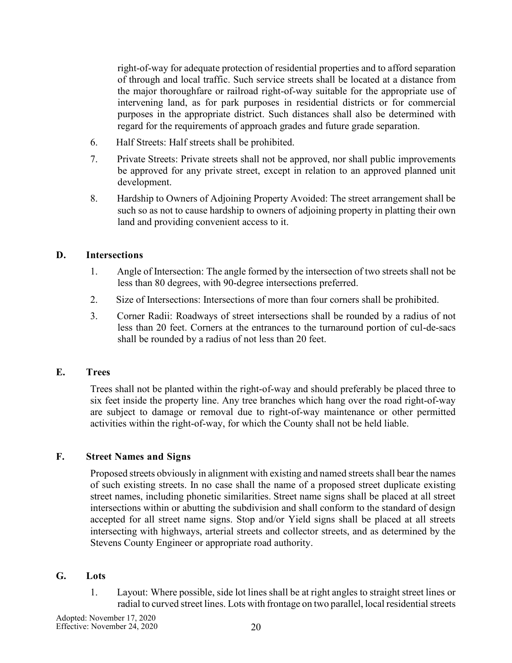right-of-way for adequate protection of residential properties and to afford separation of through and local traffic. Such service streets shall be located at a distance from the major thoroughfare or railroad right-of-way suitable for the appropriate use of intervening land, as for park purposes in residential districts or for commercial purposes in the appropriate district. Such distances shall also be determined with regard for the requirements of approach grades and future grade separation.

- 6. Half Streets: Half streets shall be prohibited.
- 7. Private Streets: Private streets shall not be approved, nor shall public improvements be approved for any private street, except in relation to an approved planned unit development.
- 8. Hardship to Owners of Adjoining Property Avoided: The street arrangement shall be such so as not to cause hardship to owners of adjoining property in platting their own land and providing convenient access to it.

### <span id="page-19-0"></span>**D. Intersections**

- 1. Angle of Intersection: The angle formed by the intersection of two streets shall not be less than 80 degrees, with 90-degree intersections preferred.
- 2. Size of Intersections: Intersections of more than four corners shall be prohibited.
- 3. Corner Radii: Roadways of street intersections shall be rounded by a radius of not less than 20 feet. Corners at the entrances to the turnaround portion of cul-de-sacs shall be rounded by a radius of not less than 20 feet.

#### <span id="page-19-1"></span>**E. Trees**

Trees shall not be planted within the right-of-way and should preferably be placed three to six feet inside the property line. Any tree branches which hang over the road right-of-way are subject to damage or removal due to right-of-way maintenance or other permitted activities within the right-of-way, for which the County shall not be held liable.

# <span id="page-19-2"></span>**F. Street Names and Signs**

Proposed streets obviously in alignment with existing and named streets shall bear the names of such existing streets. In no case shall the name of a proposed street duplicate existing street names, including phonetic similarities. Street name signs shall be placed at all street intersections within or abutting the subdivision and shall conform to the standard of design accepted for all street name signs. Stop and/or Yield signs shall be placed at all streets intersecting with highways, arterial streets and collector streets, and as determined by the Stevens County Engineer or appropriate road authority.

#### <span id="page-19-3"></span>**G. Lots**

1. Layout: Where possible, side lot lines shall be at right angles to straight street lines or radial to curved street lines. Lots with frontage on two parallel, local residential streets

Adopted: November 17, 2020 Effective: November 24, 2020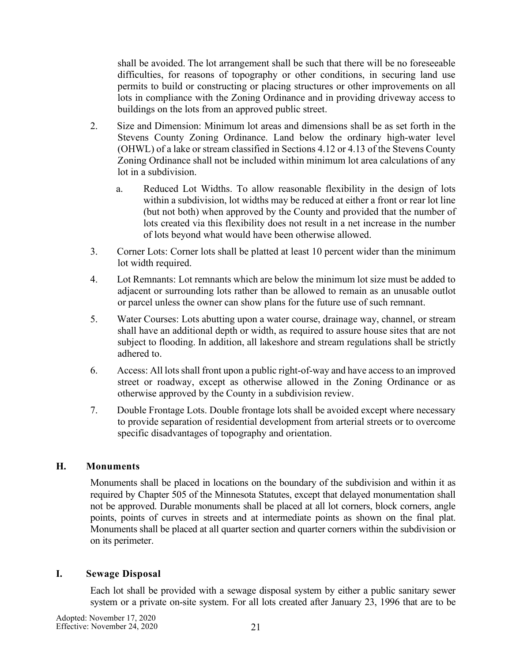shall be avoided. The lot arrangement shall be such that there will be no foreseeable difficulties, for reasons of topography or other conditions, in securing land use permits to build or constructing or placing structures or other improvements on all lots in compliance with the Zoning Ordinance and in providing driveway access to buildings on the lots from an approved public street.

- 2. Size and Dimension: Minimum lot areas and dimensions shall be as set forth in the Stevens County Zoning Ordinance. Land below the ordinary high-water level (OHWL) of a lake or stream classified in Sections 4.12 or 4.13 of the Stevens County Zoning Ordinance shall not be included within minimum lot area calculations of any lot in a subdivision.
	- a. Reduced Lot Widths. To allow reasonable flexibility in the design of lots within a subdivision, lot widths may be reduced at either a front or rear lot line (but not both) when approved by the County and provided that the number of lots created via this flexibility does not result in a net increase in the number of lots beyond what would have been otherwise allowed.
- 3. Corner Lots: Corner lots shall be platted at least 10 percent wider than the minimum lot width required.
- 4. Lot Remnants: Lot remnants which are below the minimum lot size must be added to adjacent or surrounding lots rather than be allowed to remain as an unusable outlot or parcel unless the owner can show plans for the future use of such remnant.
- 5. Water Courses: Lots abutting upon a water course, drainage way, channel, or stream shall have an additional depth or width, as required to assure house sites that are not subject to flooding. In addition, all lakeshore and stream regulations shall be strictly adhered to.
- 6. Access: All lots shall front upon a public right-of-way and have access to an improved street or roadway, except as otherwise allowed in the Zoning Ordinance or as otherwise approved by the County in a subdivision review.
- 7. Double Frontage Lots. Double frontage lots shall be avoided except where necessary to provide separation of residential development from arterial streets or to overcome specific disadvantages of topography and orientation.

# <span id="page-20-0"></span>**H. Monuments**

Monuments shall be placed in locations on the boundary of the subdivision and within it as required by Chapter 505 of the Minnesota Statutes, except that delayed monumentation shall not be approved. Durable monuments shall be placed at all lot corners, block corners, angle points, points of curves in streets and at intermediate points as shown on the final plat. Monuments shall be placed at all quarter section and quarter corners within the subdivision or on its perimeter.

#### <span id="page-20-1"></span>**I. Sewage Disposal**

Each lot shall be provided with a sewage disposal system by either a public sanitary sewer system or a private on-site system. For all lots created after January 23, 1996 that are to be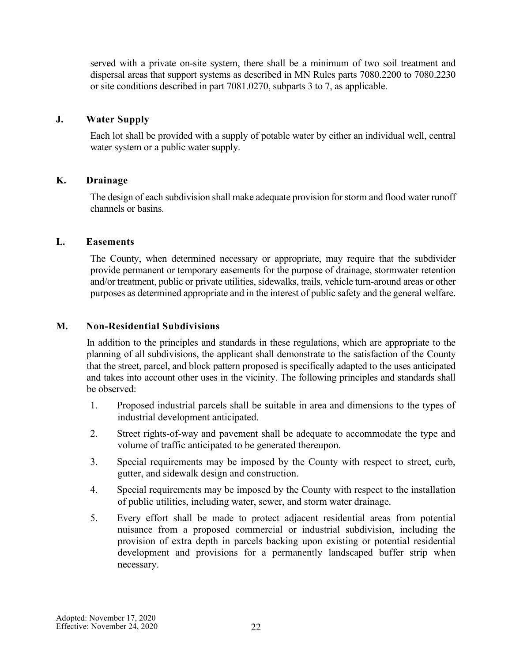served with a private on-site system, there shall be a minimum of two soil treatment and dispersal areas that support systems as described in MN Rules parts 7080.2200 to 7080.2230 or site conditions described in part 7081.0270, subparts 3 to 7, as applicable.

#### <span id="page-21-0"></span>**J. Water Supply**

Each lot shall be provided with a supply of potable water by either an individual well, central water system or a public water supply.

### <span id="page-21-1"></span>**K. Drainage**

The design of each subdivision shall make adequate provision for storm and flood water runoff channels or basins.

### <span id="page-21-2"></span>**L. Easements**

The County, when determined necessary or appropriate, may require that the subdivider provide permanent or temporary easements for the purpose of drainage, stormwater retention and/or treatment, public or private utilities, sidewalks, trails, vehicle turn-around areas or other purposes as determined appropriate and in the interest of public safety and the general welfare.

#### <span id="page-21-3"></span>**M. Non-Residential Subdivisions**

In addition to the principles and standards in these regulations, which are appropriate to the planning of all subdivisions, the applicant shall demonstrate to the satisfaction of the County that the street, parcel, and block pattern proposed is specifically adapted to the uses anticipated and takes into account other uses in the vicinity. The following principles and standards shall be observed:

- 1. Proposed industrial parcels shall be suitable in area and dimensions to the types of industrial development anticipated.
- 2. Street rights-of-way and pavement shall be adequate to accommodate the type and volume of traffic anticipated to be generated thereupon.
- 3. Special requirements may be imposed by the County with respect to street, curb, gutter, and sidewalk design and construction.
- 4. Special requirements may be imposed by the County with respect to the installation of public utilities, including water, sewer, and storm water drainage.
- 5. Every effort shall be made to protect adjacent residential areas from potential nuisance from a proposed commercial or industrial subdivision, including the provision of extra depth in parcels backing upon existing or potential residential development and provisions for a permanently landscaped buffer strip when necessary.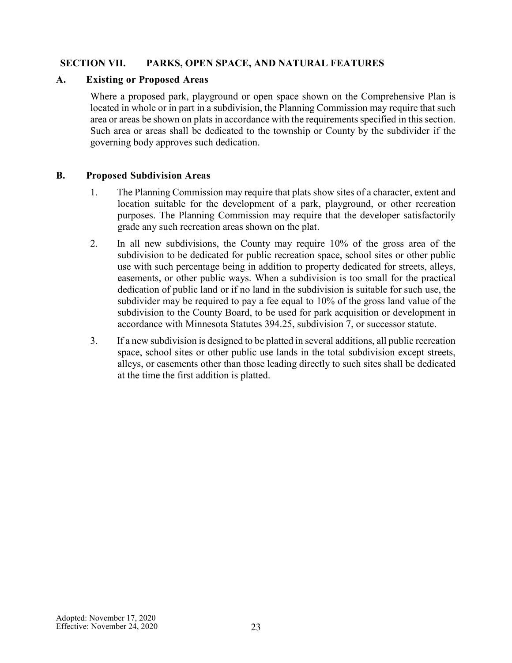# <span id="page-22-0"></span>**SECTION VII. PARKS, OPEN SPACE, AND NATURAL FEATURES**

#### <span id="page-22-1"></span>**A. Existing or Proposed Areas**

Where a proposed park, playground or open space shown on the Comprehensive Plan is located in whole or in part in a subdivision, the Planning Commission may require that such area or areas be shown on plats in accordance with the requirements specified in this section. Such area or areas shall be dedicated to the township or County by the subdivider if the governing body approves such dedication.

#### <span id="page-22-2"></span>**B. Proposed Subdivision Areas**

- 1. The Planning Commission may require that plats show sites of a character, extent and location suitable for the development of a park, playground, or other recreation purposes. The Planning Commission may require that the developer satisfactorily grade any such recreation areas shown on the plat.
- 2. In all new subdivisions, the County may require 10% of the gross area of the subdivision to be dedicated for public recreation space, school sites or other public use with such percentage being in addition to property dedicated for streets, alleys, easements, or other public ways. When a subdivision is too small for the practical dedication of public land or if no land in the subdivision is suitable for such use, the subdivider may be required to pay a fee equal to 10% of the gross land value of the subdivision to the County Board, to be used for park acquisition or development in accordance with Minnesota Statutes 394.25, subdivision 7, or successor statute.
- 3. If a new subdivision is designed to be platted in several additions, all public recreation space, school sites or other public use lands in the total subdivision except streets, alleys, or easements other than those leading directly to such sites shall be dedicated at the time the first addition is platted.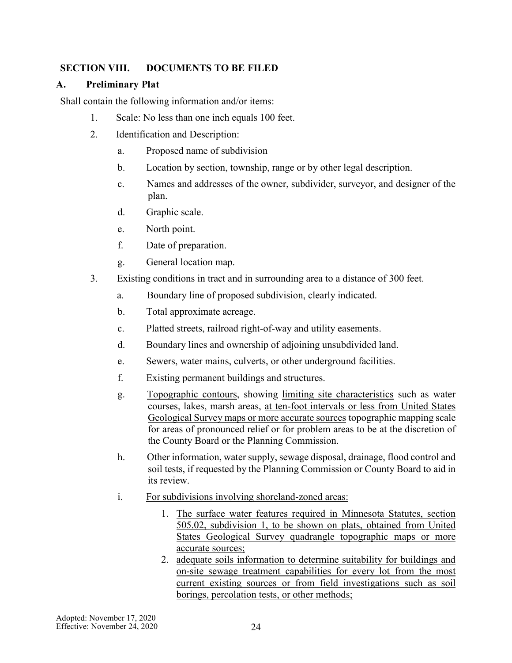# <span id="page-23-0"></span>**SECTION VIII. DOCUMENTS TO BE FILED**

### <span id="page-23-1"></span>**A. Preliminary Plat**

Shall contain the following information and/or items:

- 1. Scale: No less than one inch equals 100 feet.
- 2. Identification and Description:
	- a. Proposed name of subdivision
	- b. Location by section, township, range or by other legal description.
	- c. Names and addresses of the owner, subdivider, surveyor, and designer of the plan.
	- d. Graphic scale.
	- e. North point.
	- f. Date of preparation.
	- g. General location map.
- 3. Existing conditions in tract and in surrounding area to a distance of 300 feet.
	- a. Boundary line of proposed subdivision, clearly indicated.
	- b. Total approximate acreage.
	- c. Platted streets, railroad right-of-way and utility easements.
	- d. Boundary lines and ownership of adjoining unsubdivided land.
	- e. Sewers, water mains, culverts, or other underground facilities.
	- f. Existing permanent buildings and structures.
	- g. Topographic contours, showing limiting site characteristics such as water courses, lakes, marsh areas, at ten-foot intervals or less from United States Geological Survey maps or more accurate sources topographic mapping scale for areas of pronounced relief or for problem areas to be at the discretion of the County Board or the Planning Commission.
	- h. Other information, water supply, sewage disposal, drainage, flood control and soil tests, if requested by the Planning Commission or County Board to aid in its review.
	- i. For subdivisions involving shoreland-zoned areas:
		- 1. The surface water features required in Minnesota Statutes, section 505.02, subdivision 1, to be shown on plats, obtained from United States Geological Survey quadrangle topographic maps or more accurate sources;
		- 2. adequate soils information to determine suitability for buildings and on-site sewage treatment capabilities for every lot from the most current existing sources or from field investigations such as soil borings, percolation tests, or other methods;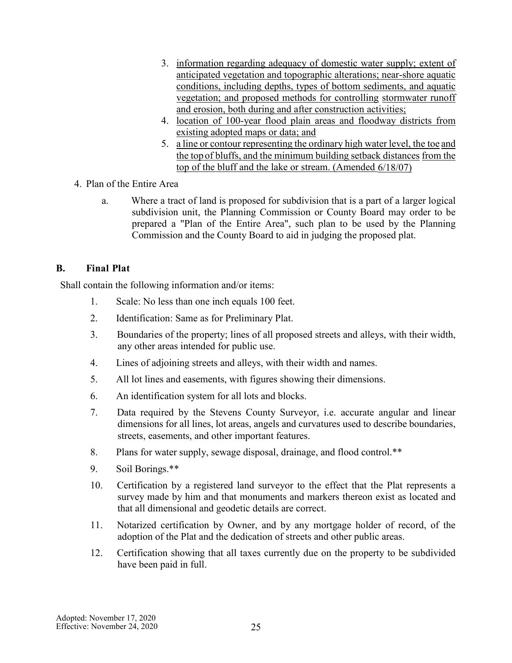- 3. information regarding adequacy of domestic water supply; extent of anticipated vegetation and topographic alterations; near-shore aquatic conditions, including depths, types of bottom sediments, and aquatic vegetation; and proposed methods for controlling stormwater runoff and erosion, both during and after construction activities;
- 4. location of 100-year flood plain areas and floodway districts from existing adopted maps or data; and
- 5. a line or contour representing the ordinary high water level, the toe and the top of bluffs, and the minimum building setback distances from the top of the bluff and the lake or stream. (Amended 6/18/07)
- 4. Plan of the Entire Area
	- a. Where a tract of land is proposed for subdivision that is a part of a larger logical subdivision unit, the Planning Commission or County Board may order to be prepared a "Plan of the Entire Area", such plan to be used by the Planning Commission and the County Board to aid in judging the proposed plat.

# <span id="page-24-0"></span>**B. Final Plat**

Shall contain the following information and/or items:

- 1. Scale: No less than one inch equals 100 feet.
- 2. Identification: Same as for Preliminary Plat.
- 3. Boundaries of the property; lines of all proposed streets and alleys, with their width, any other areas intended for public use.
- 4. Lines of adjoining streets and alleys, with their width and names.
- 5. All lot lines and easements, with figures showing their dimensions.
- 6. An identification system for all lots and blocks.
- 7. Data required by the Stevens County Surveyor, i.e. accurate angular and linear dimensions for all lines, lot areas, angels and curvatures used to describe boundaries, streets, easements, and other important features.
- 8. Plans for water supply, sewage disposal, drainage, and flood control.\*\*
- 9. Soil Borings.\*\*
- 10. Certification by a registered land surveyor to the effect that the Plat represents a survey made by him and that monuments and markers thereon exist as located and that all dimensional and geodetic details are correct.
- 11. Notarized certification by Owner, and by any mortgage holder of record, of the adoption of the Plat and the dedication of streets and other public areas.
- 12. Certification showing that all taxes currently due on the property to be subdivided have been paid in full.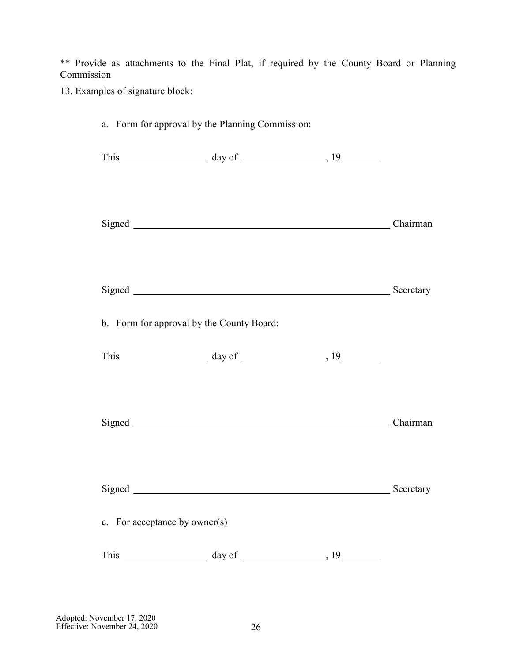\*\* Provide as attachments to the Final Plat, if required by the County Board or Planning Commission

13. Examples of signature block:

| a. Form for approval by the Planning Commission: |                                                                                                            |           |
|--------------------------------------------------|------------------------------------------------------------------------------------------------------------|-----------|
|                                                  | This $\_\_\_\_\_\_\_\_\_\_\_\_\_\_\_\_\_\_\_\_$                                                            |           |
|                                                  | Signed Chairman                                                                                            |           |
|                                                  | Signed Signed Secretary                                                                                    |           |
| b. Form for approval by the County Board:        |                                                                                                            |           |
|                                                  | This $\frac{day \text{ of } (x,y) \text{ of } (x,y) \text{ of } (x,y) \text{ of } (x,y) \text{ of } (x,y)$ |           |
|                                                  | Signed Chairman                                                                                            |           |
| Signed                                           |                                                                                                            | Secretary |
| c. For acceptance by owner(s)                    |                                                                                                            |           |
|                                                  |                                                                                                            |           |

Adopted: November 17, 2020 Effective: November 24, 2020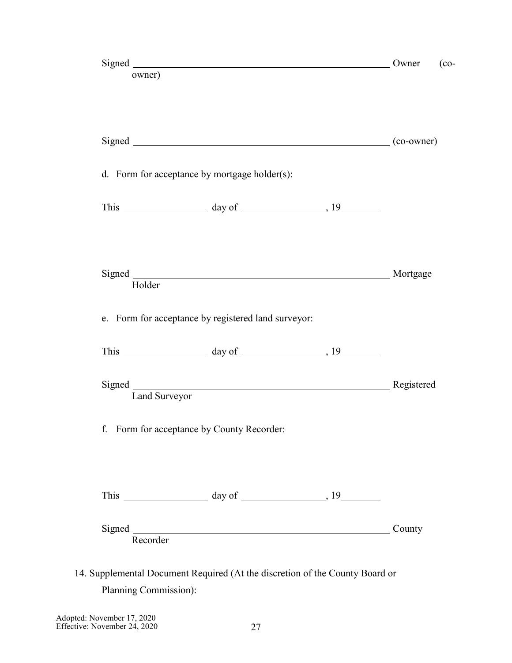|               | Signed <b>Executive Signed</b>                      | Owner  |
|---------------|-----------------------------------------------------|--------|
| owner)        |                                                     |        |
|               |                                                     |        |
|               | Signed (co-owner)                                   |        |
|               | d. Form for acceptance by mortgage holder(s):       |        |
|               | This $\frac{19}{2}$ day of $\frac{19}{2}$           |        |
|               |                                                     |        |
|               |                                                     |        |
| Holder        |                                                     |        |
|               | e. Form for acceptance by registered land surveyor: |        |
|               | This $\frac{19}{2}$ day of $\frac{19}{2}$           |        |
| Land Surveyor | Signed Registered                                   |        |
|               | f. Form for acceptance by County Recorder:          |        |
|               |                                                     |        |
| Recorder      |                                                     | County |

Adopted: November 17, 2020 Effective: November 24, 2020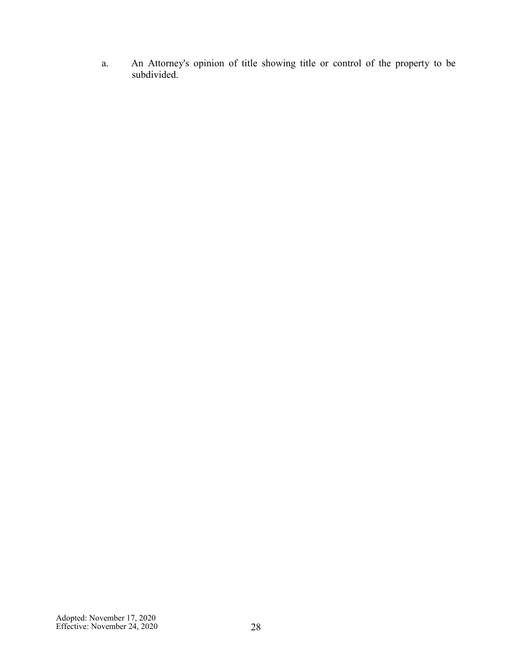a. An Attorney's opinion of title showing title or control of the property to be subdivided.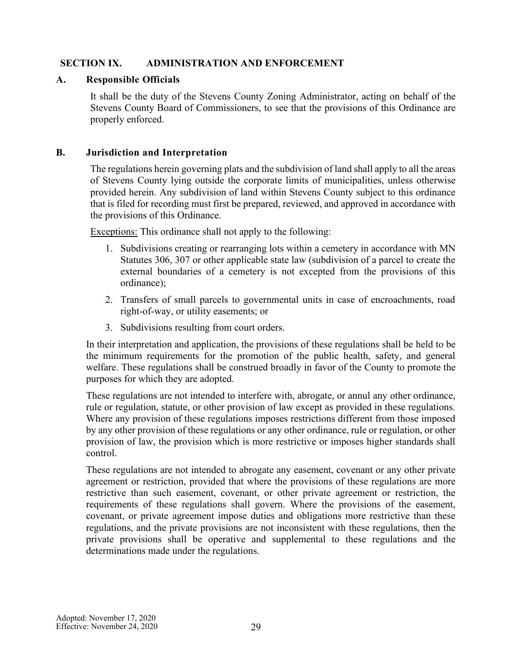# <span id="page-28-0"></span>**SECTION IX. ADMINISTRATION AND ENFORCEMENT**

# <span id="page-28-1"></span>**A. Responsible Officials**

It shall be the duty of the Stevens County Zoning Administrator, acting on behalf of the Stevens County Board of Commissioners, to see that the provisions of this Ordinance are properly enforced.

### <span id="page-28-2"></span>**B. Jurisdiction and Interpretation**

The regulations herein governing plats and the subdivision of land shall apply to all the areas of Stevens County lying outside the corporate limits of municipalities, unless otherwise provided herein. Any subdivision of land within Stevens County subject to this ordinance that is filed for recording must first be prepared, reviewed, and approved in accordance with the provisions of this Ordinance.

Exceptions: This ordinance shall not apply to the following:

- 1. Subdivisions creating or rearranging lots within a cemetery in accordance with MN Statutes 306, 307 or other applicable state law (subdivision of a parcel to create the external boundaries of a cemetery is not excepted from the provisions of this ordinance);
- 2. Transfers of small parcels to governmental units in case of encroachments, road right-of-way, or utility easements; or
- 3. Subdivisions resulting from court orders.

In their interpretation and application, the provisions of these regulations shall be held to be the minimum requirements for the promotion of the public health, safety, and general welfare. These regulations shall be construed broadly in favor of the County to promote the purposes for which they are adopted.

These regulations are not intended to interfere with, abrogate, or annul any other ordinance, rule or regulation, statute, or other provision of law except as provided in these regulations. Where any provision of these regulations imposes restrictions different from those imposed by any other provision of these regulations or any other ordinance, rule or regulation, or other provision of law, the provision which is more restrictive or imposes higher standards shall control.

These regulations are not intended to abrogate any easement, covenant or any other private agreement or restriction, provided that where the provisions of these regulations are more restrictive than such easement, covenant, or other private agreement or restriction, the requirements of these regulations shall govern. Where the provisions of the easement, covenant, or private agreement impose duties and obligations more restrictive than these regulations, and the private provisions are not inconsistent with these regulations, then the private provisions shall be operative and supplemental to these regulations and the determinations made under the regulations.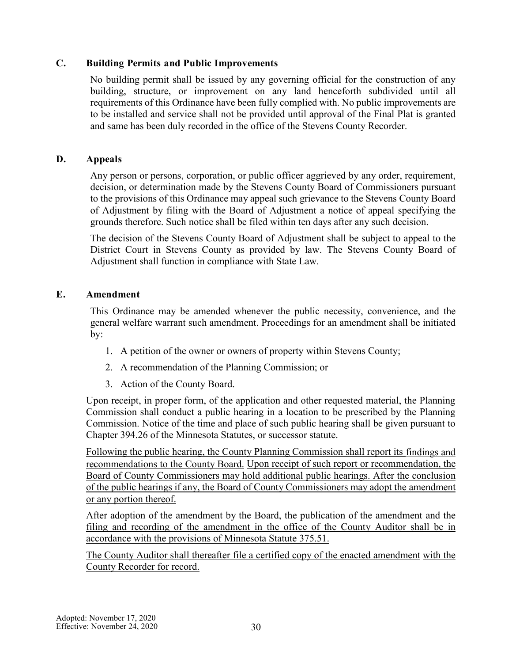# <span id="page-29-0"></span>**C. Building Permits and Public Improvements**

No building permit shall be issued by any governing official for the construction of any building, structure, or improvement on any land henceforth subdivided until all requirements of this Ordinance have been fully complied with. No public improvements are to be installed and service shall not be provided until approval of the Final Plat is granted and same has been duly recorded in the office of the Stevens County Recorder.

# <span id="page-29-1"></span>**D. Appeals**

Any person or persons, corporation, or public officer aggrieved by any order, requirement, decision, or determination made by the Stevens County Board of Commissioners pursuant to the provisions of this Ordinance may appeal such grievance to the Stevens County Board of Adjustment by filing with the Board of Adjustment a notice of appeal specifying the grounds therefore. Such notice shall be filed within ten days after any such decision.

The decision of the Stevens County Board of Adjustment shall be subject to appeal to the District Court in Stevens County as provided by law. The Stevens County Board of Adjustment shall function in compliance with State Law.

### <span id="page-29-2"></span>**E. Amendment**

This Ordinance may be amended whenever the public necessity, convenience, and the general welfare warrant such amendment. Proceedings for an amendment shall be initiated by:

- 1. A petition of the owner or owners of property within Stevens County;
- 2. A recommendation of the Planning Commission; or
- 3. Action of the County Board.

Upon receipt, in proper form, of the application and other requested material, the Planning Commission shall conduct a public hearing in a location to be prescribed by the Planning Commission. Notice of the time and place of such public hearing shall be given pursuant to Chapter 394.26 of the Minnesota Statutes, or successor statute.

Following the public hearing, the County Planning Commission shall report its findings and recommendations to the County Board. Upon receipt of such report or recommendation, the Board of County Commissioners may hold additional public hearings. After the conclusion of the public hearings if any, the Board of County Commissioners may adopt the amendment or any portion thereof.

After adoption of the amendment by the Board, the publication of the amendment and the filing and recording of the amendment in the office of the County Auditor shall be in accordance with the provisions of Minnesota Statute 375.51.

The County Auditor shall thereafter file a certified copy of the enacted amendment with the County Recorder for record.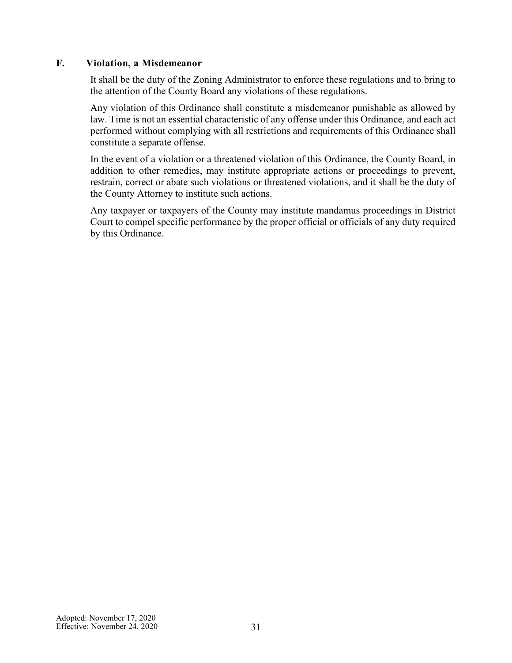# <span id="page-30-0"></span>**F. Violation, a Misdemeanor**

It shall be the duty of the Zoning Administrator to enforce these regulations and to bring to the attention of the County Board any violations of these regulations.

Any violation of this Ordinance shall constitute a misdemeanor punishable as allowed by law. Time is not an essential characteristic of any offense under this Ordinance, and each act performed without complying with all restrictions and requirements of this Ordinance shall constitute a separate offense.

In the event of a violation or a threatened violation of this Ordinance, the County Board, in addition to other remedies, may institute appropriate actions or proceedings to prevent, restrain, correct or abate such violations or threatened violations, and it shall be the duty of the County Attorney to institute such actions.

Any taxpayer or taxpayers of the County may institute mandamus proceedings in District Court to compel specific performance by the proper official or officials of any duty required by this Ordinance.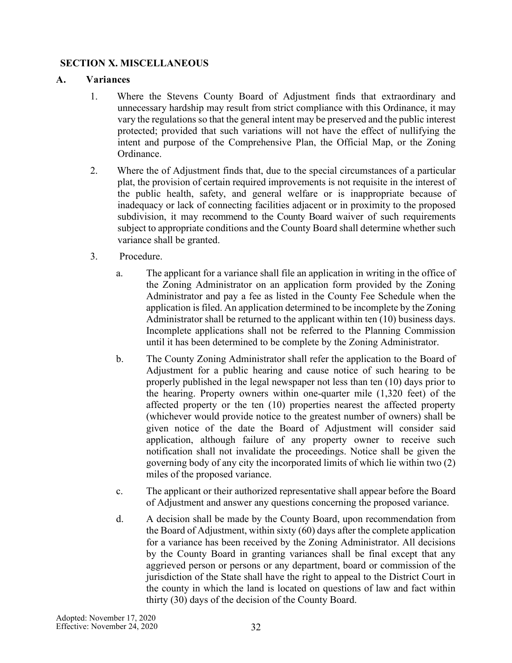# <span id="page-31-0"></span>**SECTION X. MISCELLANEOUS**

### <span id="page-31-1"></span>**A. Variances**

- 1. Where the Stevens County Board of Adjustment finds that extraordinary and unnecessary hardship may result from strict compliance with this Ordinance, it may vary the regulations so that the general intent may be preserved and the public interest protected; provided that such variations will not have the effect of nullifying the intent and purpose of the Comprehensive Plan, the Official Map, or the Zoning Ordinance.
- 2. Where the of Adjustment finds that, due to the special circumstances of a particular plat, the provision of certain required improvements is not requisite in the interest of the public health, safety, and general welfare or is inappropriate because of inadequacy or lack of connecting facilities adjacent or in proximity to the proposed subdivision, it may recommend to the County Board waiver of such requirements subject to appropriate conditions and the County Board shall determine whether such variance shall be granted.
- 3. Procedure.
	- a. The applicant for a variance shall file an application in writing in the office of the Zoning Administrator on an application form provided by the Zoning Administrator and pay a fee as listed in the County Fee Schedule when the application is filed. An application determined to be incomplete by the Zoning Administrator shall be returned to the applicant within ten (10) business days. Incomplete applications shall not be referred to the Planning Commission until it has been determined to be complete by the Zoning Administrator.
	- b. The County Zoning Administrator shall refer the application to the Board of Adjustment for a public hearing and cause notice of such hearing to be properly published in the legal newspaper not less than ten (10) days prior to the hearing. Property owners within one-quarter mile (1,320 feet) of the affected property or the ten (10) properties nearest the affected property (whichever would provide notice to the greatest number of owners) shall be given notice of the date the Board of Adjustment will consider said application, although failure of any property owner to receive such notification shall not invalidate the proceedings. Notice shall be given the governing body of any city the incorporated limits of which lie within two (2) miles of the proposed variance.
	- c. The applicant or their authorized representative shall appear before the Board of Adjustment and answer any questions concerning the proposed variance.
	- d. A decision shall be made by the County Board, upon recommendation from the Board of Adjustment, within sixty (60) days after the complete application for a variance has been received by the Zoning Administrator. All decisions by the County Board in granting variances shall be final except that any aggrieved person or persons or any department, board or commission of the jurisdiction of the State shall have the right to appeal to the District Court in the county in which the land is located on questions of law and fact within thirty (30) days of the decision of the County Board.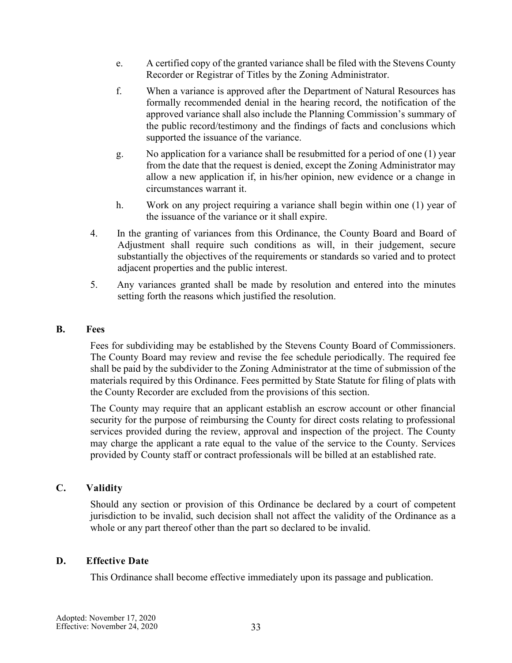- e. A certified copy of the granted variance shall be filed with the Stevens County Recorder or Registrar of Titles by the Zoning Administrator.
- f. When a variance is approved after the Department of Natural Resources has formally recommended denial in the hearing record, the notification of the approved variance shall also include the Planning Commission's summary of the public record/testimony and the findings of facts and conclusions which supported the issuance of the variance.
- g. No application for a variance shall be resubmitted for a period of one (1) year from the date that the request is denied, except the Zoning Administrator may allow a new application if, in his/her opinion, new evidence or a change in circumstances warrant it.
- h. Work on any project requiring a variance shall begin within one (1) year of the issuance of the variance or it shall expire.
- 4. In the granting of variances from this Ordinance, the County Board and Board of Adjustment shall require such conditions as will, in their judgement, secure substantially the objectives of the requirements or standards so varied and to protect adjacent properties and the public interest.
- 5. Any variances granted shall be made by resolution and entered into the minutes setting forth the reasons which justified the resolution.

#### <span id="page-32-0"></span>**B. Fees**

Fees for subdividing may be established by the Stevens County Board of Commissioners. The County Board may review and revise the fee schedule periodically. The required fee shall be paid by the subdivider to the Zoning Administrator at the time of submission of the materials required by this Ordinance. Fees permitted by State Statute for filing of plats with the County Recorder are excluded from the provisions of this section.

The County may require that an applicant establish an escrow account or other financial security for the purpose of reimbursing the County for direct costs relating to professional services provided during the review, approval and inspection of the project. The County may charge the applicant a rate equal to the value of the service to the County. Services provided by County staff or contract professionals will be billed at an established rate.

#### <span id="page-32-1"></span>**C. Validity**

Should any section or provision of this Ordinance be declared by a court of competent jurisdiction to be invalid, such decision shall not affect the validity of the Ordinance as a whole or any part thereof other than the part so declared to be invalid.

#### <span id="page-32-2"></span>**D. Effective Date**

This Ordinance shall become effective immediately upon its passage and publication.